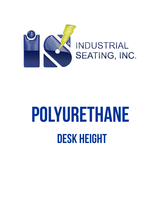

## **POLYURETHANE DESK HEIGHT**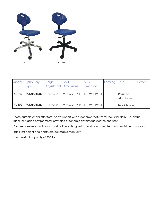

| Model        | <b>Upholstery</b><br><b>Type</b> | Height<br><b>Adjustment Dimensions</b> | Seat | <b>Back</b><br><b>Dimensions</b> | Footring | <b>Base</b>          | Caster |
|--------------|----------------------------------|----------------------------------------|------|----------------------------------|----------|----------------------|--------|
| AU102        | Polyurethane                     | $17" - 22"$                            |      | 20" W x 18" D   15" W x 12" H    |          | Polished<br>Aluminum |        |
| <b>PU102</b> | Polyurethane                     | $17" - 22"$                            |      | 20" W x 18" D   15" W x 12" H    |          | <b>Black Nylon</b>   |        |

These durable chairs offer total body support with ergonomic features for industrial daily use, chairs is ideal for rugged environments providing ergonomic advantages for the end user.

Polyurethane seat and back construction is designed to resist punctures, tears and moisture absorption

Back rest height and depth are adjustable manually.

has a weight capacity of 300 lbs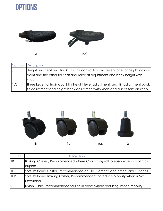## **OPTIONS**



|             | <b>Controls Description</b>                                                                                                                                     |
|-------------|-----------------------------------------------------------------------------------------------------------------------------------------------------------------|
| <b>ST</b>   | Height and Seat and Back Tilt (This control has two levers, one for height adjust-<br>ment and the other for Seat and Back tilt adjustment and back height with |
|             | knob                                                                                                                                                            |
| <b>IFLC</b> | Three Lever for Individual Lift (Height lever adjustment, seat tilt adjustment back                                                                             |
|             | tilt adjustment and height back adjustment with knob and a seat tension knob                                                                                    |



| Caster | <b>Description</b>                                                          |
|--------|-----------------------------------------------------------------------------|
| 1B     | Braking Caster, Recommended where Chairs may roll to easily when is Not Oc- |
|        | cupied                                                                      |
| 1U     | Soft Urethane Caster, Recommended on Tile, Cement and other Hard Surfaces   |
| 1UB    | Soft Urethane Braking Caster, Recommended for reduce Mobility when is Not   |
|        | Occupied                                                                    |
| 2      | Nylon Glide, Recommended for use in areas where requiring limited mobility  |